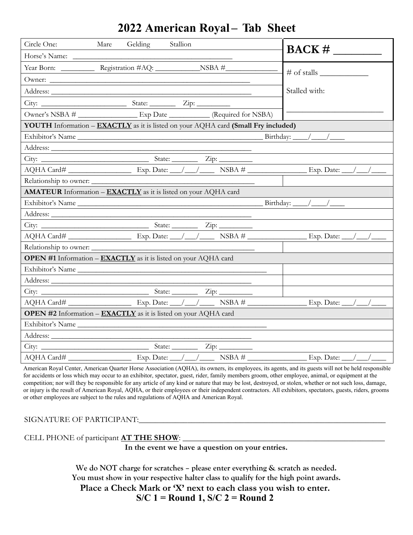## **2022 American Royal – Tab Sheet**

| Circle One:            | Gelding<br>Stallion<br>Mare                                                                      |                                   |
|------------------------|--------------------------------------------------------------------------------------------------|-----------------------------------|
| Horse's Name:          |                                                                                                  | $\text{BACK} \#$                  |
|                        |                                                                                                  | $\#$ of stalls $\_\_$             |
|                        |                                                                                                  |                                   |
|                        |                                                                                                  | Stalled with:                     |
|                        |                                                                                                  |                                   |
|                        | Owner's NSBA # ____________________ Exp Date ___________ (Required for NSBA)                     |                                   |
|                        | <b>YOUTH</b> Information – <b>EXACTLY</b> as it is listed on your AQHA card (Small Fry included) |                                   |
|                        | Exhibitor's Name                                                                                 |                                   |
|                        |                                                                                                  |                                   |
|                        |                                                                                                  |                                   |
|                        |                                                                                                  |                                   |
| Relationship to owner: |                                                                                                  |                                   |
|                        | AMATEUR Information - EXACTLY as it is listed on your AQHA card                                  |                                   |
|                        |                                                                                                  |                                   |
|                        |                                                                                                  |                                   |
|                        |                                                                                                  |                                   |
|                        |                                                                                                  |                                   |
| Relationship to owner: |                                                                                                  |                                   |
|                        | <b>OPEN #1</b> Information – <b>EXACTLY</b> as it is listed on your AQHA card                    |                                   |
|                        | Exhibitor's Name                                                                                 |                                   |
|                        |                                                                                                  |                                   |
|                        |                                                                                                  |                                   |
|                        |                                                                                                  |                                   |
|                        | <b>OPEN #2</b> Information - <b>EXACTLY</b> as it is listed on your AQHA card                    |                                   |
|                        | Exhibitor's Name                                                                                 |                                   |
|                        |                                                                                                  |                                   |
|                        |                                                                                                  |                                   |
| AQHA Card#             | Exp. Date: $\_\_\/$ / $\_\_$ NSBA #                                                              | Exp. Date: $\_\_\_\_\_\_\_\_\_\_$ |

American Royal Center, American Quarter Horse Association (AQHA), its owners, its employees, its agents, and its guests will not be held responsible for accidents or loss which may occur to an exhibitor, spectator, guest, rider, family members groom, other employee, animal, or equipment at the competition; nor will they be responsible for any article of any kind or nature that may be lost, destroyed, or stolen, whether or not such loss, damage, or injury is the result of American Royal, AQHA, or their employees or their independent contractors. All exhibitors, spectators, guests, riders, grooms or other employees are subject to the rules and regulations of AQHA and American Royal.

## SIGNATURE OF PARTICIPANT:\_\_\_\_\_\_\_\_\_\_\_\_\_\_\_\_\_\_\_\_\_\_\_\_\_\_\_\_\_\_\_\_\_\_\_\_\_\_\_\_\_\_\_\_\_\_\_\_\_\_\_\_\_\_\_\_\_\_\_\_\_

CELL PHONE of participant **AT THE SHOW**: \_\_\_\_\_\_\_\_\_\_\_\_\_\_\_\_\_\_\_\_\_\_\_\_\_\_\_\_\_\_\_\_\_\_\_\_\_\_\_\_\_\_\_\_\_\_\_\_\_\_

**In the event we have a question on your entries.**

**We do NOT charge for scratches – please enter everything & scratch as needed. You must show in your respective halter class to qualify for the high point awards. Place a Check Mark or 'X' next to each class you wish to enter.** 

**S/C 1 = Round 1, S/C 2 = Round 2**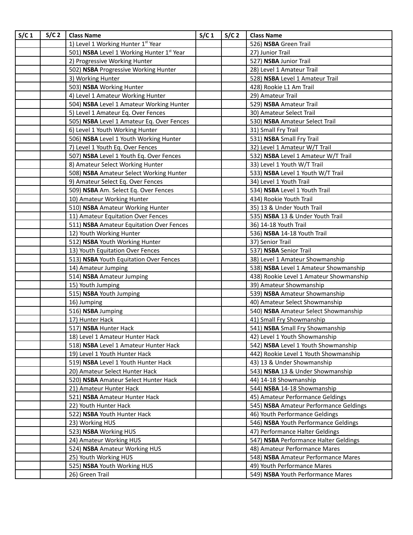| S/C <sub>1</sub> | S/C <sub>2</sub> | <b>Class Name</b>                         | S/C <sub>1</sub> | S/C <sub>2</sub> | <b>Class Name</b>                       |
|------------------|------------------|-------------------------------------------|------------------|------------------|-----------------------------------------|
|                  |                  | 1) Level 1 Working Hunter 1st Year        |                  |                  | 526) NSBA Green Trail                   |
|                  |                  | 501) NSBA Level 1 Working Hunter 1st Year |                  |                  | 27) Junior Trail                        |
|                  |                  | 2) Progressive Working Hunter             |                  |                  | 527) NSBA Junior Trail                  |
|                  |                  | 502) NSBA Progressive Working Hunter      |                  |                  | 28) Level 1 Amateur Trail               |
|                  |                  | 3) Working Hunter                         |                  |                  | 528) NSBA Level 1 Amateur Trail         |
|                  |                  | 503) NSBA Working Hunter                  |                  |                  | 428) Rookie L1 Am Trail                 |
|                  |                  | 4) Level 1 Amateur Working Hunter         |                  |                  | 29) Amateur Trail                       |
|                  |                  | 504) NSBA Level 1 Amateur Working Hunter  |                  |                  | 529) NSBA Amateur Trail                 |
|                  |                  | 5) Level 1 Amateur Eq. Over Fences        |                  |                  | 30) Amateur Select Trail                |
|                  |                  | 505) NSBA Level 1 Amateur Eq. Over Fences |                  |                  | 530) NSBA Amateur Select Trail          |
|                  |                  | 6) Level 1 Youth Working Hunter           |                  |                  | 31) Small Fry Trail                     |
|                  |                  | 506) NSBA Level 1 Youth Working Hunter    |                  |                  | 531) NSBA Small Fry Trail               |
|                  |                  | 7) Level 1 Youth Eq. Over Fences          |                  |                  | 32) Level 1 Amateur W/T Trail           |
|                  |                  | 507) NSBA Level 1 Youth Eq. Over Fences   |                  |                  | 532) NSBA Level 1 Amateur W/T Trail     |
|                  |                  | 8) Amateur Select Working Hunter          |                  |                  | 33) Level 1 Youth W/T Trail             |
|                  |                  | 508) NSBA Amateur Select Working Hunter   |                  |                  | 533) NSBA Level 1 Youth W/T Trail       |
|                  |                  | 9) Amateur Select Eq. Over Fences         |                  |                  | 34) Level 1 Youth Trail                 |
|                  |                  | 509) NSBA Am. Select Eq. Over Fences      |                  |                  | 534) NSBA Level 1 Youth Trail           |
|                  |                  | 10) Amateur Working Hunter                |                  |                  | 434) Rookie Youth Trail                 |
|                  |                  | 510) NSBA Amateur Working Hunter          |                  |                  | 35) 13 & Under Youth Trail              |
|                  |                  | 11) Amateur Equitation Over Fences        |                  |                  | 535) NSBA 13 & Under Youth Trail        |
|                  |                  | 511) NSBA Amateur Equitation Over Fences  |                  |                  | 36) 14-18 Youth Trail                   |
|                  |                  | 12) Youth Working Hunter                  |                  |                  | 536) NSBA 14-18 Youth Trail             |
|                  |                  | 512) NSBA Youth Working Hunter            |                  |                  | 37) Senior Trail                        |
|                  |                  | 13) Youth Equitation Over Fences          |                  |                  | 537) NSBA Senior Trail                  |
|                  |                  | 513) NSBA Youth Equitation Over Fences    |                  |                  | 38) Level 1 Amateur Showmanship         |
|                  |                  | 14) Amateur Jumping                       |                  |                  | 538) NSBA Level 1 Amateur Showmanship   |
|                  |                  | 514) NSBA Amateur Jumping                 |                  |                  | 438) Rookie Level 1 Amateur Showmanship |
|                  |                  | 15) Youth Jumping                         |                  |                  | 39) Amateur Showmanship                 |
|                  |                  | 515) NSBA Youth Jumping                   |                  |                  | 539) NSBA Amateur Showmanship           |
|                  |                  | 16) Jumping                               |                  |                  | 40) Amateur Select Showmanship          |
|                  |                  | 516) NSBA Jumping                         |                  |                  | 540) NSBA Amateur Select Showmanship    |
|                  |                  | 17) Hunter Hack                           |                  |                  | 41) Small Fry Showmanship               |
|                  |                  | 517) NSBA Hunter Hack                     |                  |                  | 541) NSBA Small Fry Showmanship         |
|                  |                  | 18) Level 1 Amateur Hunter Hack           |                  |                  | 42) Level 1 Youth Showmanship           |
|                  |                  | 518) NSBA Level 1 Amateur Hunter Hack     |                  |                  | 542) NSBA Level 1 Youth Showmanship     |
|                  |                  | 19) Level 1 Youth Hunter Hack             |                  |                  | 442) Rookie Level 1 Youth Showmanship   |
|                  |                  | 519) NSBA Level 1 Youth Hunter Hack       |                  |                  | 43) 13 & Under Showmanship              |
|                  |                  | 20) Amateur Select Hunter Hack            |                  |                  | 543) NSBA 13 & Under Showmanship        |
|                  |                  | 520) NSBA Amateur Select Hunter Hack      |                  |                  | 44) 14-18 Showmanship                   |
|                  |                  | 21) Amateur Hunter Hack                   |                  |                  | 544) NSBA 14-18 Showmanship             |
|                  |                  | 521) NSBA Amateur Hunter Hack             |                  |                  | 45) Amateur Performance Geldings        |
|                  |                  | 22) Youth Hunter Hack                     |                  |                  | 545) NSBA Amateur Performance Geldings  |
|                  |                  | 522) NSBA Youth Hunter Hack               |                  |                  | 46) Youth Performance Geldings          |
|                  |                  | 23) Working HUS                           |                  |                  | 546) NSBA Youth Performance Geldings    |
|                  |                  | 523) NSBA Working HUS                     |                  |                  | 47) Performance Halter Geldings         |
|                  |                  | 24) Amateur Working HUS                   |                  |                  | 547) NSBA Performance Halter Geldings   |
|                  |                  | 524) NSBA Amateur Working HUS             |                  |                  | 48) Amateur Performance Mares           |
|                  |                  | 25) Youth Working HUS                     |                  |                  | 548) NSBA Amateur Performance Mares     |
|                  |                  | 525) NSBA Youth Working HUS               |                  |                  | 49) Youth Performance Mares             |
|                  |                  | 26) Green Trail                           |                  |                  | 549) NSBA Youth Performance Mares       |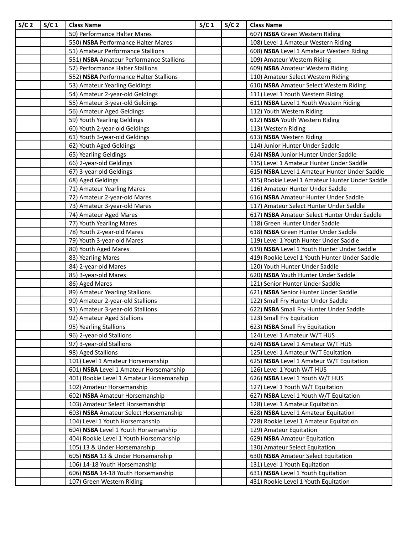| S/C <sub>2</sub> | S/C <sub>1</sub> | <b>Class Name</b>                                           | S/C <sub>1</sub> | S/C <sub>2</sub> | <b>Class Name</b>                                                           |
|------------------|------------------|-------------------------------------------------------------|------------------|------------------|-----------------------------------------------------------------------------|
|                  |                  | 50) Performance Halter Mares                                |                  |                  | 607) NSBA Green Western Riding                                              |
|                  |                  | 550) NSBA Performance Halter Mares                          |                  |                  | 108) Level 1 Amateur Western Riding                                         |
|                  |                  | 51) Amateur Performance Stallions                           |                  |                  | 608) NSBA Level 1 Amateur Western Riding                                    |
|                  |                  | 551) NSBA Amateur Performance Stallions                     |                  |                  | 109) Amateur Western Riding                                                 |
|                  |                  | 52) Performance Halter Stallions                            |                  |                  | 609) NSBA Amateur Western Riding                                            |
|                  |                  | 552) NSBA Performance Halter Stallions                      |                  |                  | 110) Amateur Select Western Riding                                          |
|                  |                  | 53) Amateur Yearling Geldings                               |                  |                  | 610) NSBA Amateur Select Western Riding                                     |
|                  |                  | 54) Amateur 2-year-old Geldings                             |                  |                  | 111) Level 1 Youth Western Riding                                           |
|                  |                  | 55) Amateur 3-year-old Geldings                             |                  |                  | 611) NSBA Level 1 Youth Western Riding                                      |
|                  |                  | 56) Amateur Aged Geldings                                   |                  |                  | 112) Youth Western Riding                                                   |
|                  |                  | 59) Youth Yearling Geldings                                 |                  |                  | 612) NSBA Youth Western Riding                                              |
|                  |                  | 60) Youth 2-year-old Geldings                               |                  |                  | 113) Western Riding                                                         |
|                  |                  | 61) Youth 3-year-old Geldings                               |                  |                  | 613) NSBA Western Riding                                                    |
|                  |                  | 62) Youth Aged Geldings                                     |                  |                  | 114) Junior Hunter Under Saddle                                             |
|                  |                  | 65) Yearling Geldings                                       |                  |                  | 614) NSBA Junior Hunter Under Saddle                                        |
|                  |                  | 66) 2-year-old Geldings                                     |                  |                  | 115) Level 1 Amateur Hunter Under Saddle                                    |
|                  |                  | 67) 3-year-old Geldings                                     |                  |                  | 615) NSBA Level 1 Amateur Hunter Under Saddle                               |
|                  |                  | 68) Aged Geldings                                           |                  |                  | 415) Rookie Level 1 Amateur Hunter Under Saddle                             |
|                  |                  | 71) Amateur Yearling Mares                                  |                  |                  | 116) Amateur Hunter Under Saddle                                            |
|                  |                  | 72) Amateur 2-year-old Mares                                |                  |                  | 616) NSBA Amateur Hunter Under Saddle                                       |
|                  |                  | 73) Amateur 3-year-old Mares                                |                  |                  | 117) Amateur Select Hunter Under Saddle                                     |
|                  |                  | 74) Amateur Aged Mares                                      |                  |                  | 617) NSBA Amateur Select Hunter Under Saddle                                |
|                  |                  | 77) Youth Yearling Mares                                    |                  |                  | 118) Green Hunter Under Saddle                                              |
|                  |                  | 78) Youth 2-year-old Mares                                  |                  |                  | 618) NSBA Green Hunter Under Saddle                                         |
|                  |                  | 79) Youth 3-year-old Mares                                  |                  |                  | 119) Level 1 Youth Hunter Under Saddle                                      |
|                  |                  | 80) Youth Aged Mares                                        |                  |                  | 619) NSBA Level 1 Youth Hunter Under Saddle                                 |
|                  |                  | 83) Yearling Mares                                          |                  |                  | 419) Rookie Level 1 Youth Hunter Under Saddle                               |
|                  |                  | 84) 2-year-old Mares                                        |                  |                  | 120) Youth Hunter Under Saddle                                              |
|                  |                  | 85) 3-year-old Mares                                        |                  |                  | 620) NSBA Youth Hunter Under Saddle                                         |
|                  |                  | 86) Aged Mares                                              |                  |                  | 121) Senior Hunter Under Saddle                                             |
|                  |                  | 89) Amateur Yearling Stallions                              |                  |                  | 621) NSBA Senior Hunter Under Saddle                                        |
|                  |                  | 90) Amateur 2-year-old Stallions                            |                  |                  | 122) Small Fry Hunter Under Saddle                                          |
|                  |                  | 91) Amateur 3-year-old Stallions                            |                  |                  | 622) NSBA Small Fry Hunter Under Saddle                                     |
|                  |                  | 92) Amateur Aged Stallions                                  |                  |                  | 123) Small Fry Equitation                                                   |
|                  |                  | 95) Yearling Stallions                                      |                  |                  | 623) NSBA Small Fry Equitation                                              |
|                  |                  | 96) 2-year-old Stallions                                    |                  |                  | 124) Level 1 Amateur W/T HUS                                                |
|                  |                  | 97) 3-year-old Stallions                                    |                  |                  | 624) NSBA Level 1 Amateur W/T HUS                                           |
|                  |                  | 98) Aged Stallions                                          |                  |                  | 125) Level 1 Amateur W/T Equitation                                         |
|                  |                  | 101) Level 1 Amateur Horsemanship                           |                  |                  | 625) NSBA Level 1 Amateur W/T Equitation                                    |
|                  |                  | 601) NSBA Level 1 Amateur Horsemanship                      |                  |                  | 126) Level 1 Youth W/T HUS                                                  |
|                  |                  | 401) Rookie Level 1 Amateur Horsemanship                    |                  |                  | 626) NSBA Level 1 Youth W/T HUS                                             |
|                  |                  | 102) Amateur Horsemanship<br>602) NSBA Amateur Horsemanship |                  |                  | 127) Level 1 Youth W/T Equitation<br>627) NSBA Level 1 Youth W/T Equitation |
|                  |                  | 103) Amateur Select Horsemanship                            |                  |                  | 128) Level 1 Amateur Equitation                                             |
|                  |                  | 603) NSBA Amateur Select Horsemanship                       |                  |                  | 628) NSBA Level 1 Amateur Equitation                                        |
|                  |                  | 104) Level 1 Youth Horsemanship                             |                  |                  | 728) Rookie Level 1 Amateur Equitation                                      |
|                  |                  | 604) NSBA Level 1 Youth Horsemanship                        |                  |                  | 129) Amateur Equitation                                                     |
|                  |                  | 404) Rookie Level 1 Youth Horsemanship                      |                  |                  | 629) NSBA Amateur Equitation                                                |
|                  |                  | 105) 13 & Under Horsemanship                                |                  |                  | 130) Amateur Select Equitation                                              |
|                  |                  | 605) NSBA 13 & Under Horsemanship                           |                  |                  | 630) NSBA Amateur Select Equitation                                         |
|                  |                  | 106) 14-18 Youth Horsemanship                               |                  |                  | 131) Level 1 Youth Equitation                                               |
|                  |                  | 606) NSBA 14-18 Youth Horsemanship                          |                  |                  | 631) NSBA Level 1 Youth Equitation                                          |
|                  |                  | 107) Green Western Riding                                   |                  |                  | 431) Rookie Level 1 Youth Equitation                                        |